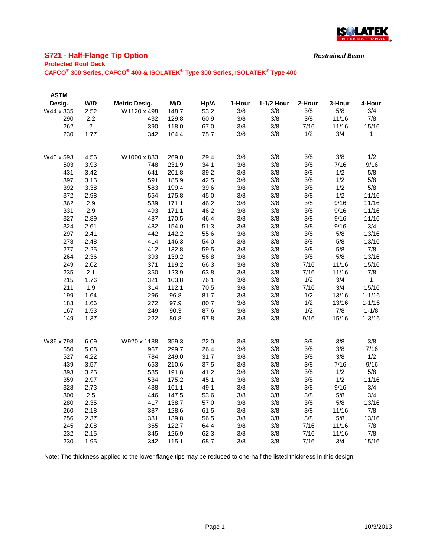

## **S721 - Half-Flange Tip Option**

#### **Protected Roof Deck**

**CAFCO® 300 Series, CAFCO® 400 & ISOLATEK® Type 300 Series, ISOLATEK® Type 400**

| <b>ASTM</b> |                |                      |       |      |        |            |        |        |            |
|-------------|----------------|----------------------|-------|------|--------|------------|--------|--------|------------|
| Desig.      | W/D            | <b>Metric Desig.</b> | M/D   | Hp/A | 1-Hour | 1-1/2 Hour | 2-Hour | 3-Hour | 4-Hour     |
| W44 x 335   | 2.52           | W1120 x 498          | 148.7 | 53.2 | 3/8    | 3/8        | 3/8    | 5/8    | 3/4        |
| 290         | 2.2            | 432                  | 129.8 | 60.9 | 3/8    | 3/8        | 3/8    | 11/16  | 7/8        |
| 262         | $\overline{2}$ | 390                  | 118.0 | 67.0 | 3/8    | 3/8        | 7/16   | 11/16  | 15/16      |
| 230         | 1.77           | 342                  | 104.4 | 75.7 | 3/8    | 3/8        | 1/2    | 3/4    | 1          |
|             |                |                      |       |      |        |            |        |        |            |
| W40 x 593   | 4.56           | W1000 x 883          | 269.0 | 29.4 | 3/8    | 3/8        | 3/8    | 3/8    | 1/2        |
| 503         | 3.93           | 748                  | 231.9 | 34.1 | 3/8    | 3/8        | 3/8    | 7/16   | 9/16       |
| 431         | 3.42           | 641                  | 201.8 | 39.2 | 3/8    | 3/8        | 3/8    | 1/2    | 5/8        |
| 397         | 3.15           | 591                  | 185.9 | 42.5 | 3/8    | 3/8        | 3/8    | 1/2    | 5/8        |
| 392         | 3.38           | 583                  | 199.4 | 39.6 | 3/8    | 3/8        | 3/8    | 1/2    | 5/8        |
| 372         | 2.98           | 554                  | 175.8 | 45.0 | 3/8    | 3/8        | 3/8    | 1/2    | 11/16      |
| 362         | 2.9            | 539                  | 171.1 | 46.2 | 3/8    | 3/8        | 3/8    | 9/16   | 11/16      |
| 331         | 2.9            | 493                  | 171.1 | 46.2 | 3/8    | 3/8        | 3/8    | 9/16   | 11/16      |
| 327         | 2.89           | 487                  | 170.5 | 46.4 | 3/8    | 3/8        | 3/8    | 9/16   | 11/16      |
| 324         | 2.61           | 482                  | 154.0 | 51.3 | 3/8    | 3/8        | 3/8    | 9/16   | 3/4        |
| 297         | 2.41           | 442                  | 142.2 | 55.6 | 3/8    | 3/8        | 3/8    | 5/8    | 13/16      |
| 278         | 2.48           | 414                  | 146.3 | 54.0 | 3/8    | 3/8        | 3/8    | 5/8    | 13/16      |
| 277         | 2.25           | 412                  | 132.8 | 59.5 | 3/8    | 3/8        | 3/8    | 5/8    | 7/8        |
| 264         | 2.36           | 393                  | 139.2 | 56.8 | 3/8    | 3/8        | 3/8    | 5/8    | 13/16      |
| 249         | 2.02           | 371                  | 119.2 | 66.3 | 3/8    | 3/8        | 7/16   | 11/16  | 15/16      |
| 235         | 2.1            | 350                  | 123.9 | 63.8 | 3/8    | 3/8        | 7/16   | 11/16  | 7/8        |
| 215         | 1.76           | 321                  | 103.8 | 76.1 | 3/8    | 3/8        | 1/2    | 3/4    | 1          |
| 211         | 1.9            | 314                  | 112.1 | 70.5 | 3/8    | 3/8        | 7/16   | 3/4    | 15/16      |
| 199         | 1.64           | 296                  | 96.8  | 81.7 | 3/8    | 3/8        | 1/2    | 13/16  | $1 - 1/16$ |
| 183         | 1.66           | 272                  | 97.9  | 80.7 | 3/8    | 3/8        | 1/2    | 13/16  | $1 - 1/16$ |
| 167         | 1.53           | 249                  | 90.3  | 87.6 | 3/8    | 3/8        | 1/2    | 7/8    | $1 - 1/8$  |
| 149         | 1.37           | 222                  | 80.8  | 97.8 | 3/8    | 3/8        | 9/16   | 15/16  | $1 - 3/16$ |
|             |                |                      |       |      |        |            |        |        |            |
| W36 x 798   | 6.09           | W920 x 1188          | 359.3 | 22.0 | 3/8    | 3/8        | 3/8    | 3/8    | 3/8        |
| 650         | 5.08           | 967                  | 299.7 | 26.4 | 3/8    | 3/8        | 3/8    | 3/8    | 7/16       |
| 527         | 4.22           | 784                  | 249.0 | 31.7 | 3/8    | 3/8        | 3/8    | 3/8    | 1/2        |
| 439         | 3.57           | 653                  | 210.6 | 37.5 | 3/8    | 3/8        | 3/8    | 7/16   | 9/16       |
| 393         | 3.25           | 585                  | 191.8 | 41.2 | 3/8    | 3/8        | 3/8    | 1/2    | 5/8        |
| 359         | 2.97           | 534                  | 175.2 | 45.1 | 3/8    | 3/8        | 3/8    | 1/2    | 11/16      |
| 328         | 2.73           | 488                  | 161.1 | 49.1 | 3/8    | 3/8        | 3/8    | 9/16   | 3/4        |
| 300         | 2.5            | 446                  | 147.5 | 53.6 | 3/8    | 3/8        | 3/8    | 5/8    | 3/4        |
| 280         | 2.35           | 417                  | 138.7 | 57.0 | 3/8    | 3/8        | 3/8    | 5/8    | 13/16      |
| 260         | 2.18           | 387                  | 128.6 | 61.5 | 3/8    | 3/8        | 3/8    | 11/16  | 7/8        |
| 256         | 2.37           | 381                  | 139.8 | 56.5 | 3/8    | 3/8        | 3/8    | 5/8    | 13/16      |
| 245         | 2.08           | 365                  | 122.7 | 64.4 | 3/8    | 3/8        | 7/16   | 11/16  | 7/8        |
| 232         | 2.15           | 345                  | 126.9 | 62.3 | 3/8    | 3/8        | 7/16   | 11/16  | 7/8        |
| 230         | 1.95           | 342                  | 115.1 | 68.7 | 3/8    | 3/8        | 7/16   | 3/4    | 15/16      |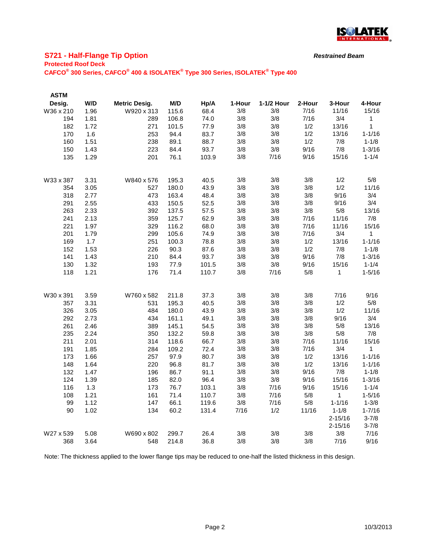

## **S721 - Half-Flange Tip Option**

#### **Protected Roof Deck**

**CAFCO® 300 Series, CAFCO® 400 & ISOLATEK® Type 300 Series, ISOLATEK® Type 400**

| <b>ASTM</b> |      |                      |       |       |        |            |        |             |             |
|-------------|------|----------------------|-------|-------|--------|------------|--------|-------------|-------------|
| Desig.      | W/D  | <b>Metric Desig.</b> | M/D   | Hp/A  | 1-Hour | 1-1/2 Hour | 2-Hour | 3-Hour      | 4-Hour      |
| W36 x 210   | 1.96 | W920 x 313           | 115.6 | 68.4  | 3/8    | 3/8        | 7/16   | 11/16       | 15/16       |
| 194         | 1.81 | 289                  | 106.8 | 74.0  | 3/8    | 3/8        | 7/16   | 3/4         | 1           |
| 182         | 1.72 | 271                  | 101.5 | 77.9  | 3/8    | 3/8        | 1/2    | 13/16       | 1           |
| 170         | 1.6  | 253                  | 94.4  | 83.7  | 3/8    | 3/8        | 1/2    | 13/16       | $1 - 1/16$  |
| 160         | 1.51 | 238                  | 89.1  | 88.7  | 3/8    | 3/8        | 1/2    | 7/8         | $1 - 1/8$   |
| 150         | 1.43 | 223                  | 84.4  | 93.7  | 3/8    | 3/8        | 9/16   | 7/8         | $1 - 3/16$  |
| 135         | 1.29 | 201                  | 76.1  | 103.9 | 3/8    | 7/16       | 9/16   | 15/16       | $1 - 1/4$   |
| W33 x 387   | 3.31 | W840 x 576           | 195.3 | 40.5  | 3/8    | 3/8        | 3/8    | 1/2         | 5/8         |
| 354         | 3.05 | 527                  | 180.0 | 43.9  | 3/8    | 3/8        | 3/8    | 1/2         | 11/16       |
| 318         | 2.77 | 473                  | 163.4 | 48.4  | 3/8    | 3/8        | 3/8    | 9/16        | 3/4         |
| 291         | 2.55 | 433                  | 150.5 | 52.5  | 3/8    | 3/8        | 3/8    | 9/16        | 3/4         |
| 263         | 2.33 | 392                  | 137.5 | 57.5  | 3/8    | 3/8        | 3/8    | 5/8         | 13/16       |
| 241         | 2.13 | 359                  | 125.7 | 62.9  | 3/8    | 3/8        | 7/16   | 11/16       | 7/8         |
| 221         | 1.97 | 329                  | 116.2 | 68.0  | 3/8    | 3/8        | 7/16   | 11/16       | 15/16       |
| 201         | 1.79 | 299                  | 105.6 | 74.9  | 3/8    | 3/8        | 7/16   | 3/4         | $\mathbf 1$ |
| 169         | 1.7  | 251                  | 100.3 | 78.8  | 3/8    | 3/8        | 1/2    | 13/16       | $1 - 1/16$  |
| 152         | 1.53 | 226                  | 90.3  | 87.6  | 3/8    | 3/8        | 1/2    | 7/8         | $1 - 1/8$   |
| 141         | 1.43 | 210                  | 84.4  | 93.7  | 3/8    | 3/8        | 9/16   | 7/8         | $1 - 3/16$  |
| 130         | 1.32 | 193                  | 77.9  | 101.5 | 3/8    | 3/8        | 9/16   | 15/16       | $1 - 1/4$   |
| 118         | 1.21 | 176                  | 71.4  | 110.7 | 3/8    | 7/16       | 5/8    | 1           | $1 - 5/16$  |
| W30 x 391   | 3.59 | W760 x 582           | 211.8 | 37.3  | 3/8    | 3/8        | 3/8    | 7/16        | 9/16        |
| 357         | 3.31 | 531                  | 195.3 | 40.5  | 3/8    | 3/8        | 3/8    | 1/2         | 5/8         |
| 326         | 3.05 | 484                  | 180.0 | 43.9  | 3/8    | 3/8        | 3/8    | 1/2         | 11/16       |
| 292         | 2.73 | 434                  | 161.1 | 49.1  | 3/8    | 3/8        | 3/8    | 9/16        | 3/4         |
| 261         | 2.46 | 389                  | 145.1 | 54.5  | 3/8    | 3/8        | 3/8    | 5/8         | 13/16       |
| 235         | 2.24 | 350                  | 132.2 | 59.8  | 3/8    | 3/8        | 3/8    | 5/8         | 7/8         |
| 211         | 2.01 | 314                  | 118.6 | 66.7  | 3/8    | 3/8        | 7/16   | 11/16       | 15/16       |
| 191         | 1.85 | 284                  | 109.2 | 72.4  | 3/8    | 3/8        | 7/16   | 3/4         | 1           |
| 173         | 1.66 | 257                  | 97.9  | 80.7  | 3/8    | 3/8        | 1/2    | 13/16       | $1 - 1/16$  |
| 148         | 1.64 | 220                  | 96.8  | 81.7  | 3/8    | 3/8        | 1/2    | 13/16       | $1 - 1/16$  |
| 132         | 1.47 | 196                  | 86.7  | 91.1  | 3/8    | 3/8        | 9/16   | 7/8         | $1 - 1/8$   |
| 124         | 1.39 | 185                  | 82.0  | 96.4  | 3/8    | 3/8        | 9/16   | 15/16       | $1 - 3/16$  |
| 116         | 1.3  | 173                  | 76.7  | 103.1 | 3/8    | 7/16       | 9/16   | 15/16       | $1 - 1/4$   |
| 108         | 1.21 | 161                  | 71.4  | 110.7 | 3/8    | 7/16       | 5/8    | 1           | $1 - 5/16$  |
| 99          | 1.12 | 147                  | 66.1  | 119.6 | 3/8    | 7/16       | 5/8    | $1 - 1/16$  | $1 - 3/8$   |
| 90          | 1.02 | 134                  | 60.2  | 131.4 | 7/16   | 1/2        | 11/16  | $1 - 1/8$   | $1 - 7/16$  |
|             |      |                      |       |       |        |            |        | $2 - 15/16$ | $3 - 7/8$   |
|             |      |                      |       |       |        |            |        | $2 - 15/16$ | $3 - 7/8$   |
| W27 x 539   | 5.08 | W690 x 802           | 299.7 | 26.4  | 3/8    | 3/8        | 3/8    | 3/8         | 7/16        |
| 368         | 3.64 | 548                  | 214.8 | 36.8  | 3/8    | 3/8        | 3/8    | 7/16        | 9/16        |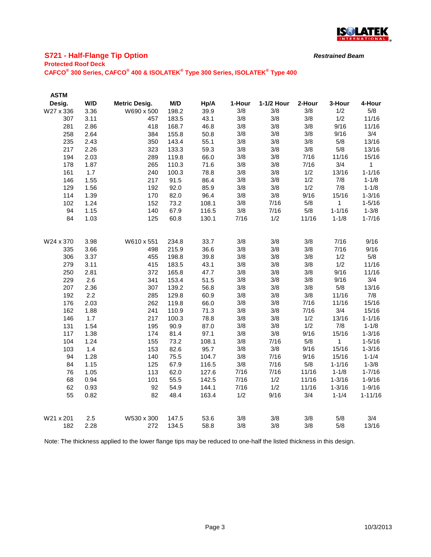

# **S721 - Half-Flange Tip Option**

#### **Protected Roof Deck**

**CAFCO® 300 Series, CAFCO® 400 & ISOLATEK® Type 300 Series, ISOLATEK® Type 400**

| <b>ASTM</b> |             |                      |                |              |        |            |        |            |              |
|-------------|-------------|----------------------|----------------|--------------|--------|------------|--------|------------|--------------|
| Desig.      | W/D         | <b>Metric Desig.</b> | M/D            | Hp/A         | 1-Hour | 1-1/2 Hour | 2-Hour | 3-Hour     | 4-Hour       |
| W27 x 336   | 3.36        | W690 x 500           | 198.2          | 39.9         | 3/8    | 3/8        | 3/8    | 1/2        | 5/8          |
| 307         | 3.11        | 457                  | 183.5          | 43.1         | 3/8    | 3/8        | 3/8    | 1/2        | 11/16        |
| 281         | 2.86        | 418                  | 168.7          | 46.8         | 3/8    | 3/8        | 3/8    | 9/16       | 11/16        |
| 258         | 2.64        | 384                  | 155.8          | 50.8         | 3/8    | 3/8        | 3/8    | 9/16       | 3/4          |
| 235         | 2.43        | 350                  | 143.4          | 55.1         | 3/8    | 3/8        | 3/8    | 5/8        | 13/16        |
| 217         | 2.26        | 323                  | 133.3          | 59.3         | 3/8    | 3/8        | 3/8    | 5/8        | 13/16        |
| 194         | 2.03        | 289                  | 119.8          | 66.0         | 3/8    | 3/8        | 7/16   | 11/16      | 15/16        |
| 178         | 1.87        | 265                  | 110.3          | 71.6         | 3/8    | 3/8        | 7/16   | 3/4        | $\mathbf{1}$ |
| 161         | 1.7         | 240                  | 100.3          | 78.8         | 3/8    | 3/8        | 1/2    | 13/16      | $1 - 1/16$   |
| 146         | 1.55        | 217                  | 91.5           | 86.4         | 3/8    | 3/8        | 1/2    | 7/8        | $1 - 1/8$    |
| 129         | 1.56        | 192                  | 92.0           | 85.9         | 3/8    | 3/8        | 1/2    | 7/8        | $1 - 1/8$    |
| 114         | 1.39        | 170                  | 82.0           | 96.4         | 3/8    | 3/8        | 9/16   | 15/16      | $1 - 3/16$   |
| 102         | 1.24        | 152                  | 73.2           | 108.1        | 3/8    | 7/16       | 5/8    | 1          | $1 - 5/16$   |
| 94          | 1.15        | 140                  | 67.9           | 116.5        | 3/8    | 7/16       | 5/8    | $1 - 1/16$ | $1 - 3/8$    |
| 84          | 1.03        | 125                  | 60.8           | 130.1        | 7/16   | 1/2        | 11/16  | $1 - 1/8$  | $1 - 7/16$   |
|             |             |                      |                |              |        |            |        |            |              |
| W24 x 370   | 3.98        | W610 x 551           | 234.8          | 33.7         | 3/8    | 3/8        | 3/8    | 7/16       | 9/16         |
| 335         | 3.66        | 498                  | 215.9          | 36.6         | 3/8    | 3/8        | 3/8    | 7/16       | 9/16         |
| 306         | 3.37        | 455                  | 198.8          | 39.8         | 3/8    | 3/8        | 3/8    | 1/2        | 5/8          |
| 279         | 3.11        | 415                  | 183.5          | 43.1         | 3/8    | 3/8        | 3/8    | 1/2        | 11/16        |
| 250         | 2.81        | 372                  | 165.8          | 47.7         | 3/8    | 3/8        | 3/8    | 9/16       | 11/16        |
| 229         | 2.6         | 341                  | 153.4          | 51.5         | 3/8    | 3/8        | 3/8    | 9/16       | 3/4          |
| 207         | 2.36        | 307                  | 139.2          | 56.8         | 3/8    | 3/8        | 3/8    | 5/8        | 13/16        |
| 192         | 2.2         | 285                  | 129.8          | 60.9         | 3/8    | 3/8        | 3/8    | 11/16      | 7/8          |
| 176         | 2.03        | 262                  | 119.8          | 66.0         | 3/8    | 3/8        | 7/16   | 11/16      | 15/16        |
| 162         | 1.88        | 241                  | 110.9          | 71.3         | 3/8    | 3/8        | 7/16   | 3/4        | 15/16        |
| 146         | 1.7         | 217                  | 100.3          | 78.8         | 3/8    | 3/8        | 1/2    | 13/16      | $1 - 1/16$   |
| 131         | 1.54        | 195                  | 90.9           | 87.0         | 3/8    | 3/8        | 1/2    | 7/8        | $1 - 1/8$    |
| 117         | 1.38        | 174                  | 81.4           | 97.1         | 3/8    | 3/8        | 9/16   | 15/16      | $1 - 3/16$   |
| 104         | 1.24        | 155                  | 73.2           | 108.1        | 3/8    | 7/16       | 5/8    | 1          | $1 - 5/16$   |
| 103         | 1.4         | 153                  | 82.6           | 95.7         | 3/8    | 3/8        | 9/16   | 15/16      | $1 - 3/16$   |
| 94          | 1.28        | 140                  | 75.5           | 104.7        | 3/8    | 7/16       | 9/16   | 15/16      | $1 - 1/4$    |
| 84          | 1.15        | 125                  | 67.9           | 116.5        | 3/8    | 7/16       | 5/8    | $1 - 1/16$ | $1 - 3/8$    |
| 76          | 1.05        | 113                  | 62.0           | 127.6        | 7/16   | 7/16       | 11/16  | $1 - 1/8$  | $1 - 7/16$   |
| 68          | 0.94        | 101                  | 55.5           | 142.5        | 7/16   | 1/2        | 11/16  | $1 - 3/16$ | $1 - 9/16$   |
| 62          | 0.93        | 92                   | 54.9           | 144.1        | 7/16   | 1/2        | 11/16  | $1 - 3/16$ | $1 - 9/16$   |
| 55          | 0.82        | 82                   | 48.4           | 163.4        | 1/2    | 9/16       | 3/4    | $1 - 1/4$  | $1 - 11/16$  |
| W21 x 201   |             | W530 x 300           |                |              | 3/8    | 3/8        | 3/8    | 5/8        | 3/4          |
| 182         | 2.5<br>2.28 | 272                  | 147.5<br>134.5 | 53.6<br>58.8 | 3/8    | 3/8        | 3/8    | 5/8        | 13/16        |

Note: The thickness applied to the lower flange tips may be reduced to one-half the listed thickness in this design.

*Restrained Beam*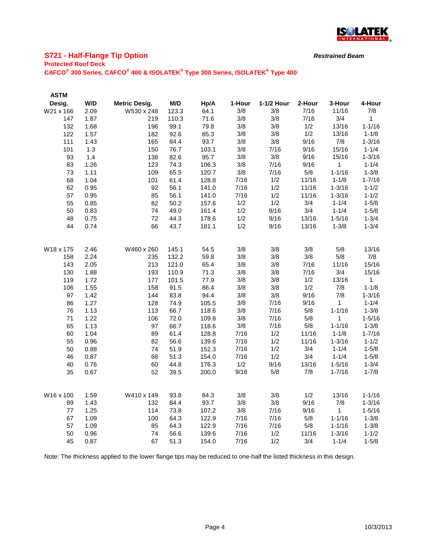

## **S721 - Half-Flange Tip Option**

#### **Protected Roof Deck**

**CAFCO® 300 Series, CAFCO® 400 & ISOLATEK® Type 300 Series, ISOLATEK® Type 400**

| <b>ASTM</b> |      |                      |       |       |        |            |        |              |            |
|-------------|------|----------------------|-------|-------|--------|------------|--------|--------------|------------|
| Desig.      | W/D  | <b>Metric Desig.</b> | M/D   | Hp/A  | 1-Hour | 1-1/2 Hour | 2-Hour | 3-Hour       | 4-Hour     |
| W21 x 166   | 2.09 | W530 x 248           | 123.3 | 64.1  | 3/8    | 3/8        | 7/16   | 11/16        | 7/8        |
| 147         | 1.87 | 219                  | 110.3 | 71.6  | 3/8    | 3/8        | 7/16   | 3/4          | 1          |
| 132         | 1.68 | 196                  | 99.1  | 79.8  | 3/8    | 3/8        | 1/2    | 13/16        | $1 - 1/16$ |
| 122         | 1.57 | 182                  | 92.6  | 85.3  | 3/8    | 3/8        | 1/2    | 13/16        | $1 - 1/8$  |
| 111         | 1.43 | 165                  | 84.4  | 93.7  | 3/8    | 3/8        | 9/16   | 7/8          | $1 - 3/16$ |
| 101         | 1.3  | 150                  | 76.7  | 103.1 | 3/8    | 7/16       | 9/16   | 15/16        | $1 - 1/4$  |
| 93          | 1.4  | 138                  | 82.6  | 95.7  | 3/8    | 3/8        | 9/16   | 15/16        | $1 - 3/16$ |
| 83          | 1.26 | 123                  | 74.3  | 106.3 | 3/8    | 7/16       | 9/16   | 1            | $1 - 1/4$  |
| 73          | 1.11 | 109                  | 65.5  | 120.7 | 3/8    | 7/16       | 5/8    | $1 - 1/16$   | $1 - 3/8$  |
| 68          | 1.04 | 101                  | 61.4  | 128.8 | 7/16   | 1/2        | 11/16  | $1 - 1/8$    | $1 - 7/16$ |
| 62          | 0.95 | 92                   | 56.1  | 141.0 | 7/16   | 1/2        | 11/16  | $1 - 3/16$   | $1 - 1/2$  |
| 57          | 0.95 | 85                   | 56.1  | 141.0 | 7/16   | 1/2        | 11/16  | $1 - 3/16$   | $1 - 1/2$  |
| 55          | 0.85 | 82                   | 50.2  | 157.6 | 1/2    | 1/2        | 3/4    | $1 - 1/4$    | $1 - 5/8$  |
| 50          | 0.83 | 74                   | 49.0  | 161.4 | 1/2    | 9/16       | 3/4    | $1 - 1/4$    | $1 - 5/8$  |
| 48          | 0.75 | 72                   | 44.3  | 178.6 | 1/2    | 9/16       | 13/16  | $1 - 5/16$   | $1 - 3/4$  |
| 44          | 0.74 | 66                   | 43.7  | 181.1 | 1/2    | 9/16       | 13/16  | $1 - 3/8$    | $1 - 3/4$  |
|             |      |                      |       |       |        |            |        |              |            |
| W18 x 175   | 2.46 | W460 x 260           | 145.1 | 54.5  | 3/8    | 3/8        | 3/8    | 5/8          | 13/16      |
| 158         | 2.24 | 235                  | 132.2 | 59.8  | 3/8    | 3/8        | 3/8    | 5/8          | 7/8        |
| 143         | 2.05 | 213                  | 121.0 | 65.4  | 3/8    | 3/8        | 7/16   | 11/16        | 15/16      |
| 130         | 1.88 | 193                  | 110.9 | 71.3  | 3/8    | 3/8        | 7/16   | 3/4          | 15/16      |
| 119         | 1.72 | 177                  | 101.5 | 77.9  | 3/8    | 3/8        | 1/2    | 13/16        | 1          |
| 106         | 1.55 | 158                  | 91.5  | 86.4  | 3/8    | 3/8        | 1/2    | 7/8          | $1 - 1/8$  |
| 97          | 1.42 | 144                  | 83.8  | 94.4  | 3/8    | 3/8        | 9/16   | 7/8          | $1 - 3/16$ |
| 86          | 1.27 | 128                  | 74.9  | 105.5 | 3/8    | 7/16       | 9/16   | 1            | $1 - 1/4$  |
| 76          | 1.13 | 113                  | 66.7  | 118.6 | 3/8    | 7/16       | 5/8    | $1 - 1/16$   | $1 - 3/8$  |
| 71          | 1.22 | 106                  | 72.0  | 109.8 | 3/8    | 7/16       | 5/8    | 1            | $1 - 5/16$ |
| 65          | 1.13 | 97                   | 66.7  | 118.6 | 3/8    | 7/16       | 5/8    | $1 - 1/16$   | $1 - 3/8$  |
| 60          | 1.04 | 89                   | 61.4  | 128.8 | 7/16   | 1/2        | 11/16  | $1 - 1/8$    | $1 - 7/16$ |
| 55          | 0.96 | 82                   | 56.6  | 139.6 | 7/16   | 1/2        | 11/16  | $1 - 3/16$   | $1 - 1/2$  |
| 50          | 0.88 | 74                   | 51.9  | 152.3 | 7/16   | 1/2        | 3/4    | $1 - 1/4$    | $1 - 5/8$  |
| 46          | 0.87 | 68                   | 51.3  | 154.0 | 7/16   | 1/2        | 3/4    | $1 - 1/4$    | $1 - 5/8$  |
| 40          | 0.76 | 60                   | 44.8  | 176.3 | 1/2    | 9/16       | 13/16  | $1 - 5/16$   | $1 - 3/4$  |
| 35          | 0.67 | 52                   | 39.5  | 200.0 | 9/16   | 5/8        | 7/8    | $1 - 7/16$   | $1 - 7/8$  |
|             |      |                      |       |       |        |            |        |              |            |
| W16 x 100   | 1.59 | W410 x 149           | 93.8  | 84.3  | 3/8    | 3/8        | 1/2    | 13/16        | $1 - 1/16$ |
| 89          | 1.43 | 132                  | 84.4  | 93.7  | 3/8    | 3/8        | 9/16   | 7/8          | $1 - 3/16$ |
| 77          | 1.25 | 114                  | 73.8  | 107.2 | 3/8    | 7/16       | 9/16   | $\mathbf{1}$ | $1 - 5/16$ |
| 67          | 1.09 | 100                  | 64.3  | 122.9 | 7/16   | 7/16       | 5/8    | $1 - 1/16$   | $1 - 3/8$  |
| 57          | 1.09 | 85                   | 64.3  | 122.9 | 7/16   | 7/16       | 5/8    | $1 - 1/16$   | $1 - 3/8$  |
| 50          | 0.96 | 74                   | 56.6  | 139.6 | 7/16   | 1/2        | 11/16  | $1 - 3/16$   | $1 - 1/2$  |
| 45          | 0.87 | 67                   | 51.3  | 154.0 | 7/16   | 1/2        | 3/4    | $1 - 1/4$    | $1 - 5/8$  |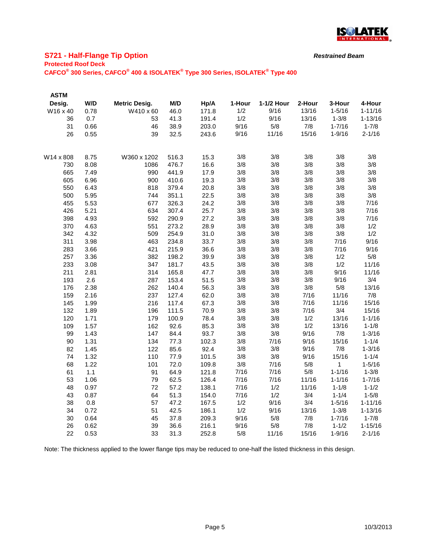

# **S721 - Half-Flange Tip Option**

#### **Protected Roof Deck**

**CAFCO® 300 Series, CAFCO® 400 & ISOLATEK® Type 300 Series, ISOLATEK® Type 400**

| <b>ASTM</b> |              |                      |              |               |            |            |             |              |                         |
|-------------|--------------|----------------------|--------------|---------------|------------|------------|-------------|--------------|-------------------------|
| Desig.      | W/D          | <b>Metric Desig.</b> | M/D          | Hp/A          | 1-Hour     | 1-1/2 Hour | 2-Hour      | 3-Hour       | 4-Hour                  |
| W16 x 40    | 0.78         | W410 x 60            | 46.0         | 171.8         | 1/2        | 9/16       | 13/16       | $1 - 5/16$   | $1 - 11/16$             |
| 36          | 0.7          | 53                   | 41.3         | 191.4         | 1/2        | 9/16       | 13/16       | $1 - 3/8$    | $1 - 13/16$             |
| 31          | 0.66         | 46                   | 38.9         | 203.0         | 9/16       | 5/8        | 7/8         | $1 - 7/16$   | $1 - 7/8$               |
| 26          | 0.55         | 39                   | 32.5         | 243.6         | 9/16       | 11/16      | 15/16       | $1 - 9/16$   | $2 - 1/16$              |
| W14 x 808   | 8.75         | W360 x 1202          | 516.3        | 15.3          | 3/8        | 3/8        | 3/8         | 3/8          | 3/8                     |
| 730         | 8.08         | 1086                 | 476.7        | 16.6          | 3/8        | 3/8        | 3/8         | 3/8          | 3/8                     |
| 665         | 7.49         | 990                  | 441.9        | 17.9          | 3/8        | 3/8        | 3/8         | 3/8          | 3/8                     |
| 605         | 6.96         | 900                  | 410.6        | 19.3          | 3/8        | 3/8        | 3/8         | 3/8          | 3/8                     |
| 550         | 6.43         | 818                  | 379.4        | 20.8          | 3/8        | 3/8        | 3/8         | 3/8          | 3/8                     |
| 500         | 5.95         | 744                  | 351.1        | 22.5          | 3/8        | 3/8        | 3/8         | 3/8          | 3/8                     |
| 455         | 5.53         | 677                  | 326.3        | 24.2          | 3/8        | 3/8        | 3/8         | 3/8          | 7/16                    |
| 426         | 5.21         | 634                  | 307.4        | 25.7          | 3/8        | 3/8        | 3/8         | 3/8          | 7/16                    |
| 398         | 4.93         | 592                  | 290.9        | 27.2          | 3/8        | 3/8        | 3/8         | 3/8          | 7/16                    |
| 370         | 4.63         | 551                  | 273.2        | 28.9          | 3/8        | 3/8        | 3/8         | 3/8          | 1/2                     |
| 342         | 4.32         | 509                  | 254.9        | 31.0          | 3/8        | 3/8        | 3/8         | 3/8          | 1/2                     |
| 311         | 3.98         | 463                  | 234.8        | 33.7          | 3/8        | 3/8        | 3/8         | 7/16         | 9/16                    |
| 283         | 3.66         | 421                  | 215.9        | 36.6          | 3/8        | 3/8        | 3/8         | 7/16         | 9/16                    |
| 257         | 3.36         | 382                  | 198.2        | 39.9          | 3/8        | 3/8        | 3/8         | 1/2          | 5/8                     |
| 233         | 3.08         | 347                  | 181.7        | 43.5          | 3/8        | 3/8        | 3/8         | 1/2          | 11/16                   |
| 211         | 2.81         | 314                  | 165.8        | 47.7          | 3/8        | 3/8        | 3/8         | 9/16         | 11/16                   |
| 193         | 2.6          | 287                  | 153.4        | 51.5          | 3/8        | 3/8        | 3/8         | 9/16         | 3/4                     |
| 176         | 2.38         | 262                  | 140.4        | 56.3          | 3/8        | 3/8        | 3/8         | 5/8          | 13/16                   |
| 159         | 2.16         | 237                  | 127.4        | 62.0          | 3/8        | 3/8        | $7/16$      | 11/16        | 7/8                     |
| 145         | 1.99         | 216                  | 117.4        | 67.3          | 3/8        | 3/8        | 7/16        | 11/16        | 15/16                   |
| 132         | 1.89         | 196                  | 111.5        | 70.9          | 3/8        | 3/8        | 7/16        | 3/4          | 15/16                   |
| 120         | 1.71         | 179                  | 100.9        | 78.4          | 3/8        | 3/8        | 1/2         | 13/16        | $1 - 1/16$              |
| 109         | 1.57         | 162                  | 92.6         | 85.3          | 3/8<br>3/8 | 3/8<br>3/8 | 1/2<br>9/16 | 13/16<br>7/8 | $1 - 1/8$<br>$1 - 3/16$ |
| 99<br>90    | 1.43<br>1.31 | 147<br>134           | 84.4<br>77.3 | 93.7          | 3/8        | 7/16       | 9/16        | 15/16        | $1 - 1/4$               |
| 82          | 1.45         | 122                  | 85.6         | 102.3<br>92.4 | 3/8        | 3/8        | 9/16        | 7/8          | $1 - 3/16$              |
| 74          | 1.32         | 110                  | 77.9         | 101.5         | 3/8        | 3/8        | 9/16        | 15/16        | $1 - 1/4$               |
| 68          | 1.22         | 101                  | 72.0         | 109.8         | 3/8        | 7/16       | 5/8         | 1            | $1 - 5/16$              |
| 61          | 1.1          | 91                   | 64.9         | 121.8         | 7/16       | 7/16       | 5/8         | $1 - 1/16$   | $1 - 3/8$               |
| 53          | 1.06         | 79                   | 62.5         | 126.4         | 7/16       | 7/16       | 11/16       | $1 - 1/16$   | $1 - 7/16$              |
| 48          | 0.97         | 72                   | 57.2         | 138.1         | 7/16       | 1/2        | 11/16       | $1 - 1/8$    | $1 - 1/2$               |
| 43          | 0.87         | 64                   | 51.3         | 154.0         | 7/16       | 1/2        | 3/4         | $1 - 1/4$    | $1 - 5/8$               |
| 38          | 0.8          | 57                   | 47.2         | 167.5         | 1/2        | 9/16       | 3/4         | $1 - 5/16$   | $1 - 11/16$             |
| 34          | 0.72         | 51                   | 42.5         | 186.1         | 1/2        | 9/16       | 13/16       | $1 - 3/8$    | $1 - 13/16$             |
| 30          | 0.64         | 45                   | 37.8         | 209.3         | 9/16       | 5/8        | 7/8         | $1 - 7/16$   | $1 - 7/8$               |
| 26          | 0.62         | 39                   | 36.6         | 216.1         | 9/16       | 5/8        | 7/8         | $1 - 1/2$    | $1 - 15/16$             |
| 22          | 0.53         | 33                   | 31.3         | 252.8         | 5/8        | 11/16      | 15/16       | $1 - 9/16$   | $2 - 1/16$              |
|             |              |                      |              |               |            |            |             |              |                         |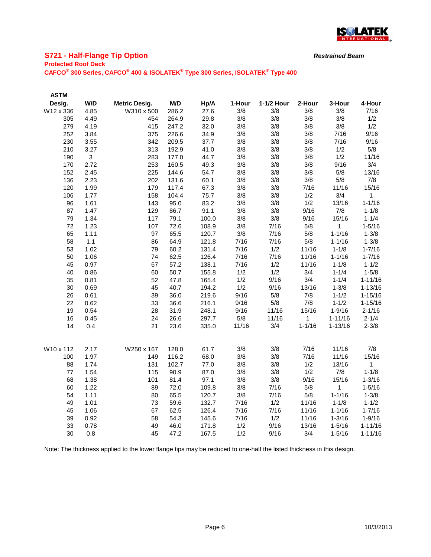

## **S721 - Half-Flange Tip Option**

#### **Protected Roof Deck**

**CAFCO® 300 Series, CAFCO® 400 & ISOLATEK® Type 300 Series, ISOLATEK® Type 400**

| <b>ASTM</b> |              |                      |       |       |        |            |            |              |              |
|-------------|--------------|----------------------|-------|-------|--------|------------|------------|--------------|--------------|
| Desig.      | W/D          | <b>Metric Desig.</b> | M/D   | Hp/A  | 1-Hour | 1-1/2 Hour | 2-Hour     | 3-Hour       | 4-Hour       |
| W12 x 336   | 4.85         | W310 x 500           | 286.2 | 27.6  | 3/8    | 3/8        | 3/8        | 3/8          | 7/16         |
| 305         | 4.49         | 454                  | 264.9 | 29.8  | 3/8    | 3/8        | 3/8        | 3/8          | 1/2          |
| 279         | 4.19         | 415                  | 247.2 | 32.0  | 3/8    | 3/8        | 3/8        | $3/8$        | 1/2          |
| 252         | 3.84         | 375                  | 226.6 | 34.9  | 3/8    | 3/8        | 3/8        | 7/16         | 9/16         |
| 230         | 3.55         | 342                  | 209.5 | 37.7  | 3/8    | 3/8        | 3/8        | 7/16         | 9/16         |
| 210         | 3.27         | 313                  | 192.9 | 41.0  | 3/8    | 3/8        | 3/8        | 1/2          | 5/8          |
| 190         | $\mathbf{3}$ | 283                  | 177.0 | 44.7  | 3/8    | 3/8        | 3/8        | 1/2          | 11/16        |
| 170         | 2.72         | 253                  | 160.5 | 49.3  | 3/8    | 3/8        | 3/8        | 9/16         | 3/4          |
| 152         | 2.45         | 225                  | 144.6 | 54.7  | 3/8    | 3/8        | 3/8        | 5/8          | 13/16        |
| 136         | 2.23         | 202                  | 131.6 | 60.1  | 3/8    | 3/8        | 3/8        | 5/8          | 7/8          |
| 120         | 1.99         | 179                  | 117.4 | 67.3  | 3/8    | 3/8        | 7/16       | 11/16        | 15/16        |
| 106         | 1.77         | 158                  | 104.4 | 75.7  | 3/8    | 3/8        | 1/2        | 3/4          | $\mathbf{1}$ |
| 96          | 1.61         | 143                  | 95.0  | 83.2  | 3/8    | 3/8        | 1/2        | 13/16        | $1 - 1/16$   |
| 87          | 1.47         | 129                  | 86.7  | 91.1  | 3/8    | 3/8        | 9/16       | 7/8          | $1 - 1/8$    |
| 79          | 1.34         | 117                  | 79.1  | 100.0 | 3/8    | 3/8        | 9/16       | 15/16        | $1 - 1/4$    |
| 72          | 1.23         | 107                  | 72.6  | 108.9 | 3/8    | 7/16       | 5/8        | $\mathbf{1}$ | $1 - 5/16$   |
| 65          | 1.11         | 97                   | 65.5  | 120.7 | 3/8    | 7/16       | 5/8        | $1 - 1/16$   | $1 - 3/8$    |
| 58          | $1.1$        | 86                   | 64.9  | 121.8 | 7/16   | 7/16       | 5/8        | $1 - 1/16$   | $1 - 3/8$    |
| 53          | 1.02         | 79                   | 60.2  | 131.4 | 7/16   | 1/2        | 11/16      | $1 - 1/8$    | $1 - 7/16$   |
| 50          | 1.06         | 74                   | 62.5  | 126.4 | 7/16   | 7/16       | 11/16      | $1 - 1/16$   | $1 - 7/16$   |
| 45          | 0.97         | 67                   | 57.2  | 138.1 | 7/16   | 1/2        | 11/16      | $1 - 1/8$    | $1 - 1/2$    |
| 40          | 0.86         | 60                   | 50.7  | 155.8 | 1/2    | 1/2        | 3/4        | $1 - 1/4$    | $1 - 5/8$    |
| 35          | 0.81         | 52                   | 47.8  | 165.4 | 1/2    | 9/16       | 3/4        | $1 - 1/4$    | $1 - 11/16$  |
| 30          | 0.69         | 45                   | 40.7  | 194.2 | 1/2    | 9/16       | 13/16      | $1 - 3/8$    | $1 - 13/16$  |
| 26          | 0.61         | 39                   | 36.0  | 219.6 | 9/16   | 5/8        | 7/8        | $1 - 1/2$    | $1 - 15/16$  |
| 22          | 0.62         | 33                   | 36.6  | 216.1 | 9/16   | 5/8        | 7/8        | $1 - 1/2$    | $1 - 15/16$  |
| 19          | 0.54         | 28                   | 31.9  | 248.1 | 9/16   | 11/16      | 15/16      | $1 - 9/16$   | $2 - 1/16$   |
| 16          | 0.45         | 24                   | 26.6  | 297.7 | 5/8    | 11/16      | 1          | $1 - 11/16$  | $2 - 1/4$    |
| 14          | 0.4          | 21                   | 23.6  | 335.0 | 11/16  | 3/4        | $1 - 1/16$ | $1 - 13/16$  | $2 - 3/8$    |
| W10 x 112   | 2.17         | W250 x 167           | 128.0 | 61.7  | 3/8    | 3/8        | 7/16       | 11/16        | 7/8          |
| 100         | 1.97         | 149                  | 116.2 | 68.0  | 3/8    | 3/8        | 7/16       | 11/16        | 15/16        |
| 88          | 1.74         | 131                  | 102.7 | 77.0  | 3/8    | 3/8        | 1/2        | 13/16        | 1            |
| $77 \,$     | 1.54         | 115                  | 90.9  | 87.0  | 3/8    | 3/8        | 1/2        | $7/8$        | $1 - 1/8$    |
| 68          | 1.38         | 101                  | 81.4  | 97.1  | 3/8    | 3/8        | 9/16       | 15/16        | $1 - 3/16$   |
| 60          | 1.22         | 89                   | 72.0  | 109.8 | 3/8    | 7/16       | 5/8        | 1            | $1 - 5/16$   |
| 54          | 1.11         | 80                   | 65.5  | 120.7 | 3/8    | 7/16       | 5/8        | $1 - 1/16$   | $1 - 3/8$    |
| 49          | 1.01         | 73                   | 59.6  | 132.7 | 7/16   | 1/2        | 11/16      | $1 - 1/8$    | $1 - 1/2$    |
| 45          | 1.06         | 67                   | 62.5  | 126.4 | 7/16   | 7/16       | 11/16      | $1 - 1/16$   | $1 - 7/16$   |
| 39          | 0.92         | 58                   | 54.3  | 145.6 | 7/16   | 1/2        | 11/16      | $1 - 3/16$   | $1 - 9/16$   |
| 33          | 0.78         | 49                   | 46.0  | 171.8 | 1/2    | 9/16       | 13/16      | $1 - 5/16$   | $1 - 11/16$  |
| 30          | 0.8          | 45                   | 47.2  | 167.5 | 1/2    | 9/16       | 3/4        | $1 - 5/16$   | $1 - 11/16$  |